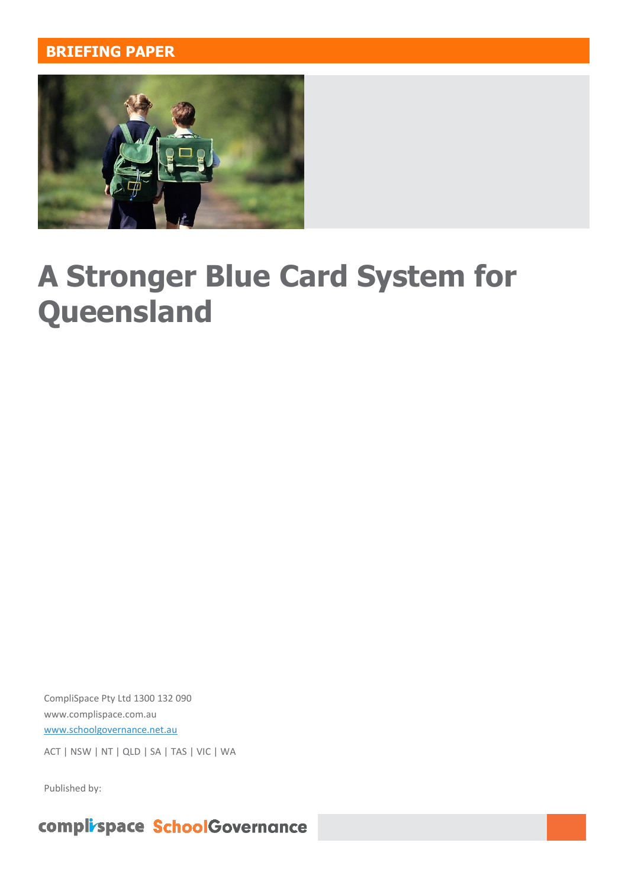#### **BRIEFING PAPER**



# **A Stronger Blue Card System for Queensland**

CompliSpace Pty Ltd 1300 132 090 [www.complispace.com.au](http://www.complispace.com.au/) [www.schoolgovernance.net.au](http://www.schoolgovernance.net.au/)

ACT | NSW | NT | QLD | SA | TAS | VIC | WA

Published by:

complispace SchoolGovernance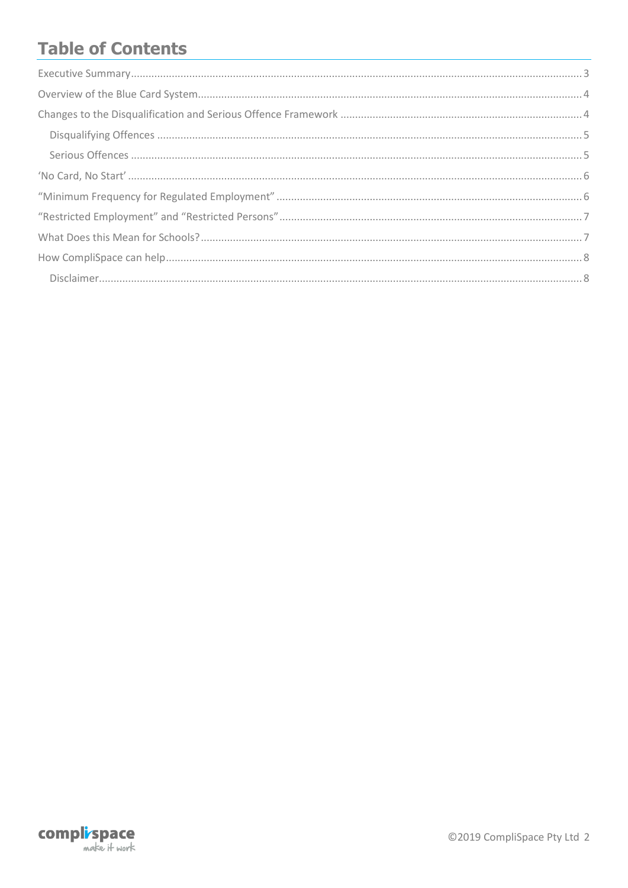# **Table of Contents**

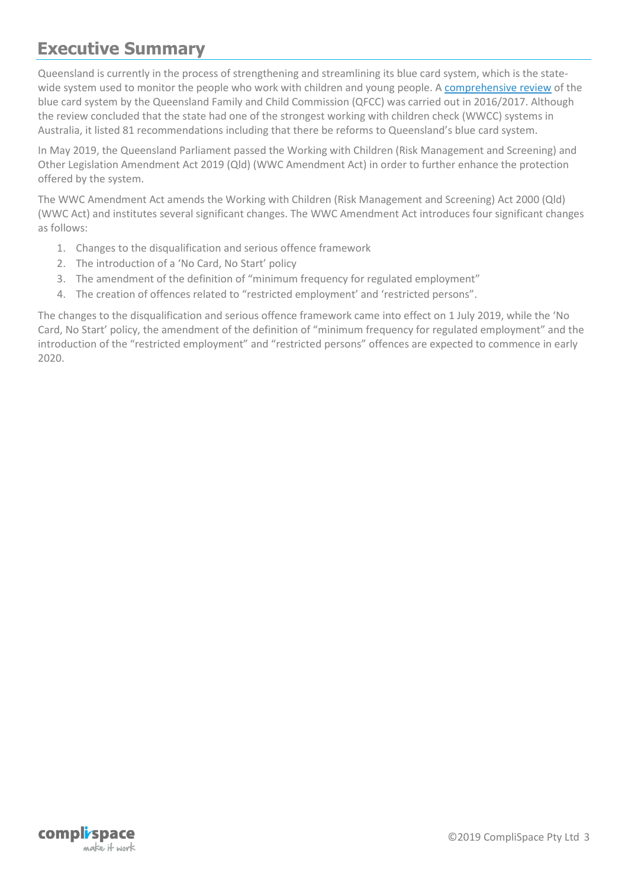#### <span id="page-2-0"></span>**Executive Summary**

Queensland is currently in the process of strengthening and streamlining its blue card system, which is the statewide system used to monitor the people who work with children and young people. [A comprehensive review](https://www.qfcc.qld.gov.au/sites/default/files/final_report_BC_review.pdf) of the blue card system by the Queensland Family and Child Commission (QFCC) was carried out in 2016/2017. Although the review concluded that the state had one of the strongest working with children check (WWCC) systems in Australia, it listed 81 recommendations including that there be reforms to Queensland's blue card system.

In May 2019, the Queensland Parliament passed the Working with Children (Risk Management and Screening) and Other Legislation Amendment Act 2019 (Qld) (WWC Amendment Act) in order to further enhance the protection offered by the system.

The WWC Amendment Act amends the Working with Children (Risk Management and Screening) Act 2000 (Qld) (WWC Act) and institutes several significant changes. The WWC Amendment Act introduces four significant changes as follows:

- 1. Changes to the disqualification and serious offence framework
- 2. The introduction of a 'No Card, No Start' policy
- 3. The amendment of the definition of "minimum frequency for regulated employment"
- 4. The creation of offences related to "restricted employment' and 'restricted persons".

The changes to the disqualification and serious offence framework came into effect on 1 July 2019, while the 'No Card, No Start' policy, the amendment of the definition of "minimum frequency for regulated employment" and the introduction of the "restricted employment" and "restricted persons" offences are expected to commence in early 2020.

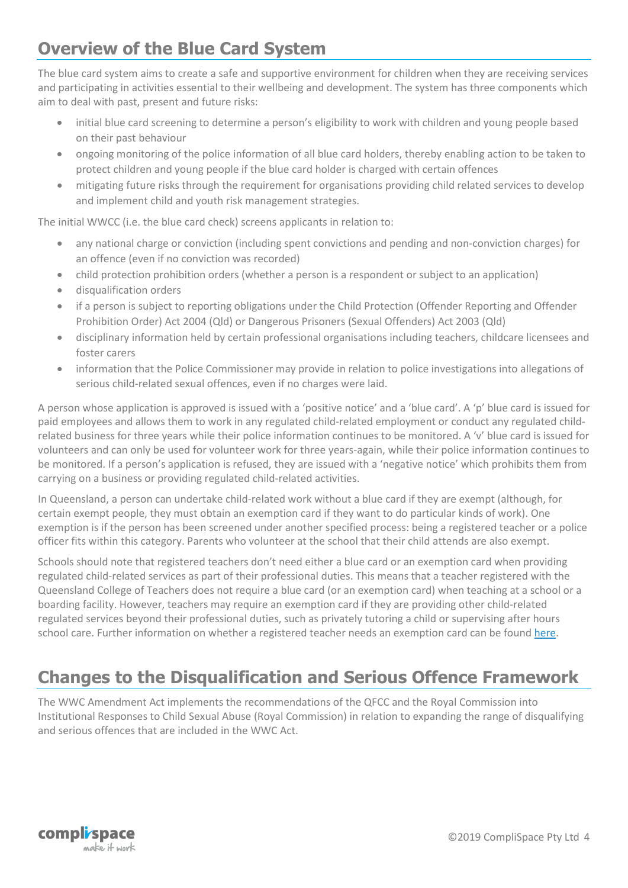#### <span id="page-3-0"></span>**Overview of the Blue Card System**

The blue card system aims to create a safe and supportive environment for children when they are receiving services and participating in activities essential to their wellbeing and development. The system has three components which aim to deal with past, present and future risks:

- initial blue card screening to determine a person's eligibility to work with children and young people based on their past behaviour
- ongoing monitoring of the police information of all blue card holders, thereby enabling action to be taken to protect children and young people if the blue card holder is charged with certain offences
- mitigating future risks through the requirement for organisations providing child related services to develop and implement child and youth risk management strategies.

The initial WWCC (i.e. the blue card check) screens applicants in relation to:

- any national charge or conviction (including spent convictions and pending and non-conviction charges) for an offence (even if no conviction was recorded)
- child protection prohibition orders (whether a person is a respondent or subject to an application)
- disqualification orders
- if a person is subject to reporting obligations under the Child Protection (Offender Reporting and Offender Prohibition Order) Act 2004 (Qld) or Dangerous Prisoners (Sexual Offenders) Act 2003 (Qld)
- disciplinary information held by certain professional organisations including teachers, childcare licensees and foster carers
- information that the Police Commissioner may provide in relation to police investigations into allegations of serious child-related sexual offences, even if no charges were laid.

A person whose application is approved is issued with a 'positive notice' and a 'blue card'. A 'p' blue card is issued for paid employees and allows them to work in any regulated child-related employment or conduct any regulated childrelated business for three years while their police information continues to be monitored. A 'v' blue card is issued for volunteers and can only be used for volunteer work for three years-again, while their police information continues to be monitored. If a person's application is refused, they are issued with a 'negative notice' which prohibits them from carrying on a business or providing regulated child-related activities.

In Queensland, a person can undertake child-related work without a blue card if they are exempt (although, for certain exempt people, they must obtain an exemption card if they want to do particular kinds of work). One exemption is if the person has been screened under another specified process: being a registered teacher or a police officer fits within this category. Parents who volunteer at the school that their child attends are also exempt.

Schools should note that registered teachers don't need either a blue card or an exemption card when providing regulated child-related services as part of their professional duties. This means that a teacher registered with the Queensland College of Teachers does not require a blue card (or an exemption card) when teaching at a school or a boarding facility. However, teachers may require an exemption card if they are providing other child-related regulated services beyond their professional duties, such as privately tutoring a child or supervising after hours school care. Further information on whether a registered teacher needs an exemption card can be foun[d here.](https://www.bluecard.qld.gov.au/pdf/infosheets/Information-Sheet-Exemption-cards-for-teachers.pdf)

# <span id="page-3-1"></span>**Changes to the Disqualification and Serious Offence Framework**

The WWC Amendment Act implements the recommendations of the QFCC and the Royal Commission into Institutional Responses to Child Sexual Abuse (Royal Commission) in relation to expanding the range of disqualifying and serious offences that are included in the WWC Act.

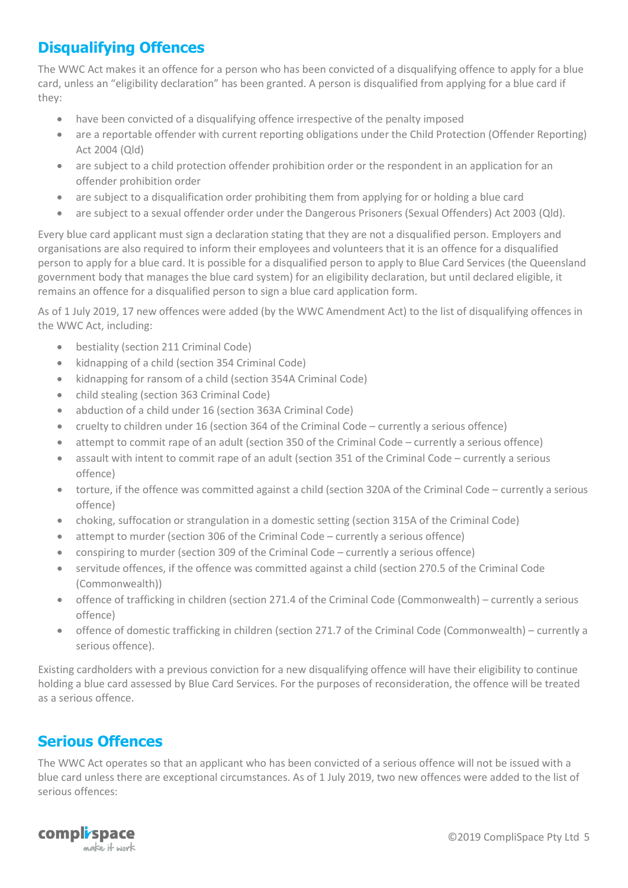#### <span id="page-4-0"></span>**Disqualifying Offences**

The WWC Act makes it an offence for a person who has been convicted of a disqualifying offence to apply for a blue card, unless an "eligibility declaration" has been granted. A person is disqualified from applying for a blue card if they:

- have been convicted of a disqualifying offence irrespective of the penalty imposed
- are a reportable offender with current reporting obligations under the Child Protection (Offender Reporting) Act 2004 (Qld)
- are subject to a child protection offender prohibition order or the respondent in an application for an offender prohibition order
- are subject to a disqualification order prohibiting them from applying for or holding a blue card
- are subject to a sexual offender order under the Dangerous Prisoners (Sexual Offenders) Act 2003 (Qld).

Every blue card applicant must sign a declaration stating that they are not a disqualified person. Employers and organisations are also required to inform their employees and volunteers that it is an offence for a disqualified person to apply for a blue card. It is possible for a disqualified person to apply to Blue Card Services (the Queensland government body that manages the blue card system) for an eligibility declaration, but until declared eligible, it remains an offence for a disqualified person to sign a blue card application form.

As of 1 July 2019, 17 new offences were added (by the WWC Amendment Act) to the list of disqualifying offences in the WWC Act, including:

- bestiality (section 211 Criminal Code)
- kidnapping of a child (section 354 Criminal Code)
- kidnapping for ransom of a child (section 354A Criminal Code)
- child stealing (section 363 Criminal Code)
- abduction of a child under 16 (section 363A Criminal Code)
- cruelty to children under 16 (section 364 of the Criminal Code currently a serious offence)
- attempt to commit rape of an adult (section 350 of the Criminal Code currently a serious offence)
- assault with intent to commit rape of an adult (section 351 of the Criminal Code currently a serious offence)
- torture, if the offence was committed against a child (section 320A of the Criminal Code currently a serious offence)
- choking, suffocation or strangulation in a domestic setting (section 315A of the Criminal Code)
- attempt to murder (section 306 of the Criminal Code currently a serious offence)
- conspiring to murder (section 309 of the Criminal Code currently a serious offence)
- servitude offences, if the offence was committed against a child (section 270.5 of the Criminal Code (Commonwealth))
- offence of trafficking in children (section 271.4 of the Criminal Code (Commonwealth) currently a serious offence)
- offence of domestic trafficking in children (section 271.7 of the Criminal Code (Commonwealth) currently a serious offence).

Existing cardholders with a previous conviction for a new disqualifying offence will have their eligibility to continue holding a blue card assessed by Blue Card Services. For the purposes of reconsideration, the offence will be treated as a serious offence.

#### <span id="page-4-1"></span>**Serious Offences**

The WWC Act operates so that an applicant who has been convicted of a serious offence will not be issued with a blue card unless there are exceptional circumstances. As of 1 July 2019, two new offences were added to the list of serious offences:

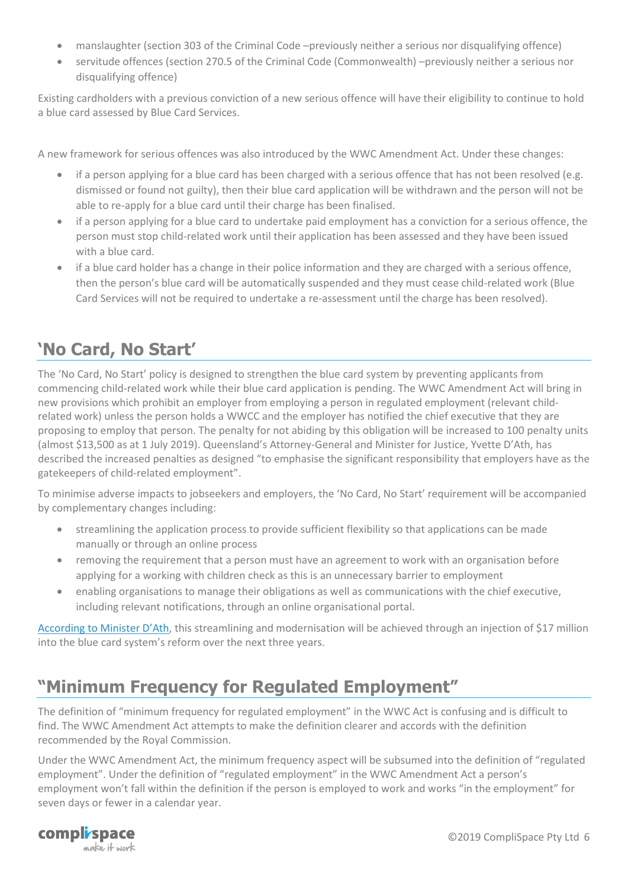- manslaughter (section 303 of the Criminal Code –previously neither a serious nor disqualifying offence)
- servitude offences (section 270.5 of the Criminal Code (Commonwealth) –previously neither a serious nor disqualifying offence)

Existing cardholders with a previous conviction of a new serious offence will have their eligibility to continue to hold a blue card assessed by Blue Card Services.

A new framework for serious offences was also introduced by the WWC Amendment Act. Under these changes:

- if a person applying for a blue card has been charged with a serious offence that has not been resolved (e.g. dismissed or found not guilty), then their blue card application will be withdrawn and the person will not be able to re-apply for a blue card until their charge has been finalised.
- if a person applying for a blue card to undertake paid employment has a conviction for a serious offence, the person must stop child-related work until their application has been assessed and they have been issued with a blue card.
- if a blue card holder has a change in their police information and they are charged with a serious offence, then the person's blue card will be automatically suspended and they must cease child-related work (Blue Card Services will not be required to undertake a re-assessment until the charge has been resolved).

### <span id="page-5-0"></span>**'No Card, No Start'**

The 'No Card, No Start' policy is designed to strengthen the blue card system by preventing applicants from commencing child-related work while their blue card application is pending. The WWC Amendment Act will bring in new provisions which prohibit an employer from employing a person in regulated employment (relevant childrelated work) unless the person holds a WWCC and the employer has notified the chief executive that they are proposing to employ that person. The penalty for not abiding by this obligation will be increased to 100 penalty units (almost \$13,500 as at 1 July 2019). Queensland's Attorney-General and Minister for Justice, Yvette D'Ath, has described the increased penalties as designed "to emphasise the significant responsibility that employers have as the gatekeepers of child-related employment".

To minimise adverse impacts to jobseekers and employers, the 'No Card, No Start' requirement will be accompanied by complementary changes including:

- streamlining the application process to provide sufficient flexibility so that applications can be made manually or through an online process
- removing the requirement that a person must have an agreement to work with an organisation before applying for a working with children check as this is an unnecessary barrier to employment
- enabling organisations to manage their obligations as well as communications with the chief executive, including relevant notifications, through an online organisational portal.

[According to Minister D'Ath,](http://statements.qld.gov.au/Statement/2019/5/16/more-protection-for-children-under-tougher-blue-card-laws) this streamlining and modernisation will be achieved through an injection of \$17 million into the blue card system's reform over the next three years.

# <span id="page-5-1"></span>**"Minimum Frequency for Regulated Employment"**

The definition of "minimum frequency for regulated employment" in the WWC Act is confusing and is difficult to find. The WWC Amendment Act attempts to make the definition clearer and accords with the definition recommended by the Royal Commission.

Under the WWC Amendment Act, the minimum frequency aspect will be subsumed into the definition of "regulated employment". Under the definition of "regulated employment" in the WWC Amendment Act a person's employment won't fall within the definition if the person is employed to work and works "in the employment" for seven days or fewer in a calendar year.

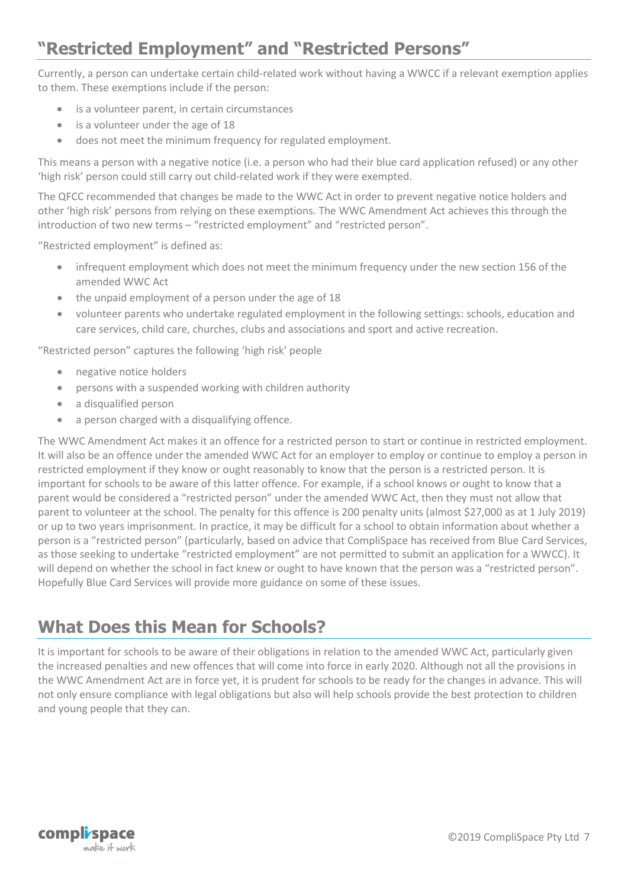#### <span id="page-6-0"></span>**"Restricted Employment" and "Restricted Persons"**

Currently, a person can undertake certain child-related work without having a WWCC if a relevant exemption applies to them. These exemptions include if the person:

- is a volunteer parent, in certain circumstances
- is a volunteer under the age of 18
- does not meet the minimum frequency for regulated employment.

This means a person with a negative notice (i.e. a person who had their blue card application refused) or any other 'high risk' person could still carry out child-related work if they were exempted.

The QFCC recommended that changes be made to the WWC Act in order to prevent negative notice holders and other 'high risk' persons from relying on these exemptions. The WWC Amendment Act achieves this through the introduction of two new terms – "restricted employment" and "restricted person".

"Restricted employment" is defined as:

- infrequent employment which does not meet the minimum frequency under the new section 156 of the amended WWC Act
- the unpaid employment of a person under the age of 18
- volunteer parents who undertake regulated employment in the following settings: schools, education and care services, child care, churches, clubs and associations and sport and active recreation.

"Restricted person" captures the following 'high risk' people

- negative notice holders
- persons with a suspended working with children authority
- a disqualified person
- a person charged with a disqualifying offence.

The WWC Amendment Act makes it an offence for a restricted person to start or continue in restricted employment. It will also be an offence under the amended WWC Act for an employer to employ or continue to employ a person in restricted employment if they know or ought reasonably to know that the person is a restricted person. It is important for schools to be aware of this latter offence. For example, if a school knows or ought to know that a parent would be considered a "restricted person" under the amended WWC Act, then they must not allow that parent to volunteer at the school. The penalty for this offence is 200 penalty units (almost \$27,000 as at 1 July 2019) or up to two years imprisonment. In practice, it may be difficult for a school to obtain information about whether a person is a "restricted person" (particularly, based on advice that CompliSpace has received from Blue Card Services, as those seeking to undertake "restricted employment" are not permitted to submit an application for a WWCC). It will depend on whether the school in fact knew or ought to have known that the person was a "restricted person". Hopefully Blue Card Services will provide more guidance on some of these issues.

#### <span id="page-6-1"></span>**What Does this Mean for Schools?**

It is important for schools to be aware of their obligations in relation to the amended WWC Act, particularly given the increased penalties and new offences that will come into force in early 2020. Although not all the provisions in the WWC Amendment Act are in force yet, it is prudent for schools to be ready for the changes in advance. This will not only ensure compliance with legal obligations but also will help schools provide the best protection to children and young people that they can.